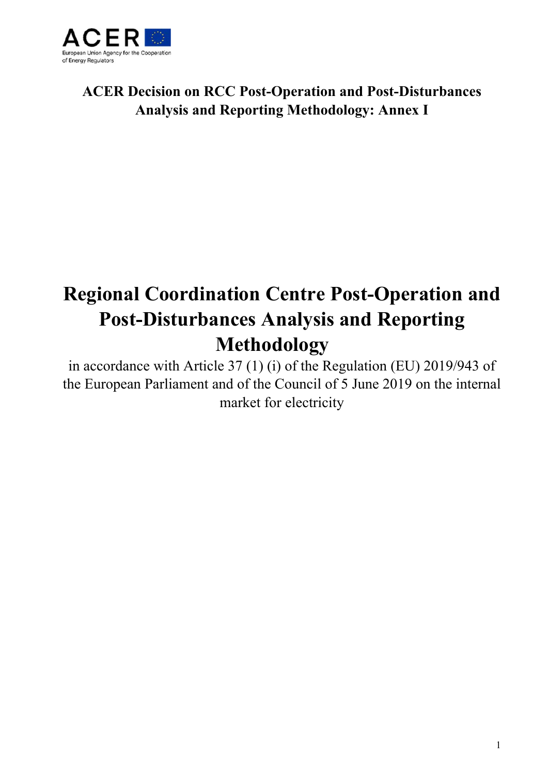

# **ACER Decision on RCC Post-Operation and Post-Disturbances Analysis and Reporting Methodology: Annex I**

# **Regional Coordination Centre Post-Operation and Post-Disturbances Analysis and Reporting Methodology**

in accordance with Article 37 (1) (i) of the Regulation (EU) 2019/943 of the European Parliament and of the Council of 5 June 2019 on the internal market for electricity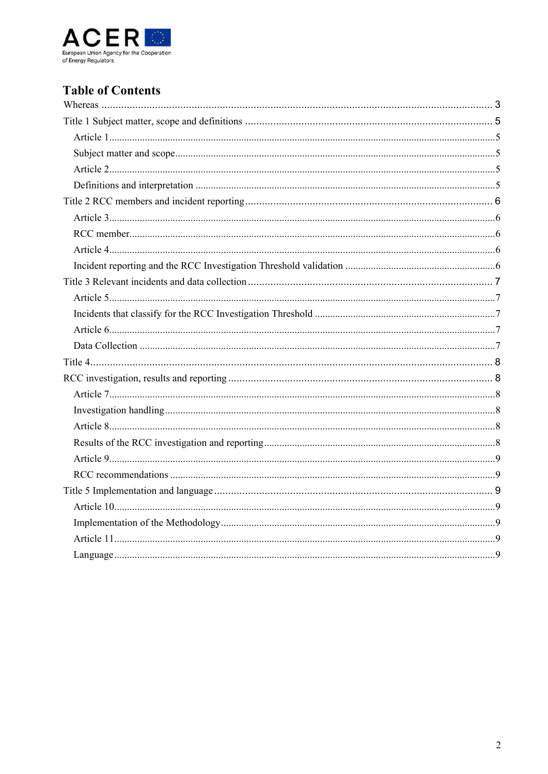

# **Table of Contents**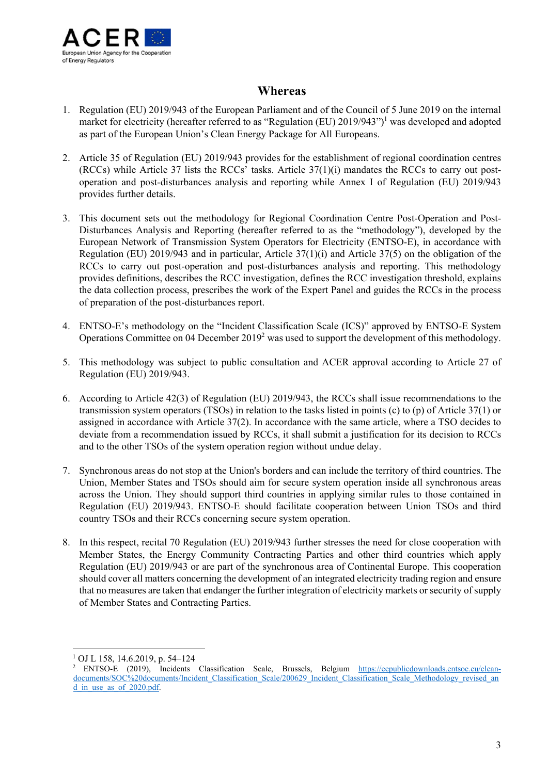

## **Whereas**

- 1. Regulation (EU) 2019/943 of the European Parliament and of the Council of 5 June 2019 on the internal market for electricity (hereafter referred to as "Regulation (EU) 2019/943")<sup>1</sup> was developed and adopted as part of the European Union's Clean Energy Package for All Europeans.
- 2. Article 35 of Regulation (EU) 2019/943 provides for the establishment of regional coordination centres (RCCs) while Article 37 lists the RCCs' tasks. Article 37(1)(i) mandates the RCCs to carry out postoperation and post-disturbances analysis and reporting while Annex I of Regulation (EU) 2019/943 provides further details.
- 3. This document sets out the methodology for Regional Coordination Centre Post-Operation and Post-Disturbances Analysis and Reporting (hereafter referred to as the "methodology"), developed by the European Network of Transmission System Operators for Electricity (ENTSO-E), in accordance with Regulation (EU) 2019/943 and in particular, Article 37(1)(i) and Article 37(5) on the obligation of the RCCs to carry out post-operation and post-disturbances analysis and reporting. This methodology provides definitions, describes the RCC investigation, defines the RCC investigation threshold, explains the data collection process, prescribes the work of the Expert Panel and guides the RCCs in the process of preparation of the post-disturbances report.
- 4. ENTSO-E's methodology on the "Incident Classification Scale (ICS)" approved by ENTSO-E System Operations Committee on 04 December  $2019<sup>2</sup>$  was used to support the development of this methodology.
- 5. This methodology was subject to public consultation and ACER approval according to Article 27 of Regulation (EU) 2019/943.
- 6. According to Article 42(3) of Regulation (EU) 2019/943, the RCCs shall issue recommendations to the transmission system operators (TSOs) in relation to the tasks listed in points (c) to (p) of Article 37(1) or assigned in accordance with Article 37(2). In accordance with the same article, where a TSO decides to deviate from a recommendation issued by RCCs, it shall submit a justification for its decision to RCCs and to the other TSOs of the system operation region without undue delay.
- 7. Synchronous areas do not stop at the Union's borders and can include the territory of third countries. The Union, Member States and TSOs should aim for secure system operation inside all synchronous areas across the Union. They should support third countries in applying similar rules to those contained in Regulation (EU) 2019/943. ENTSO-E should facilitate cooperation between Union TSOs and third country TSOs and their RCCs concerning secure system operation.
- 8. In this respect, recital 70 Regulation (EU) 2019/943 further stresses the need for close cooperation with Member States, the Energy Community Contracting Parties and other third countries which apply Regulation (EU) 2019/943 or are part of the synchronous area of Continental Europe. This cooperation should cover all matters concerning the development of an integrated electricity trading region and ensure that no measures are taken that endanger the further integration of electricity markets or security of supply of Member States and Contracting Parties.

<sup>1</sup>  $1$  OJ L 158, 14.6.2019, p. 54-124

<sup>&</sup>lt;sup>2</sup> ENTSO-E (2019), Incidents Classification Scale, Brussels, Belgium https://eepublicdownloads.entsoe.eu/cleandocuments/SOC%20documents/Incident\_Classification\_Scale/200629\_Incident\_Classification\_Scale\_Methodology\_revised\_an d in use as of 2020.pdf.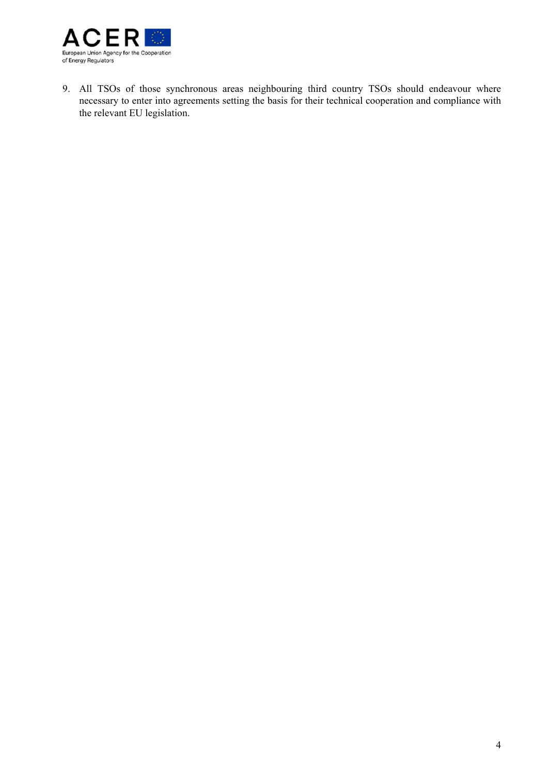

9. All TSOs of those synchronous areas neighbouring third country TSOs should endeavour where necessary to enter into agreements setting the basis for their technical cooperation and compliance with the relevant EU legislation.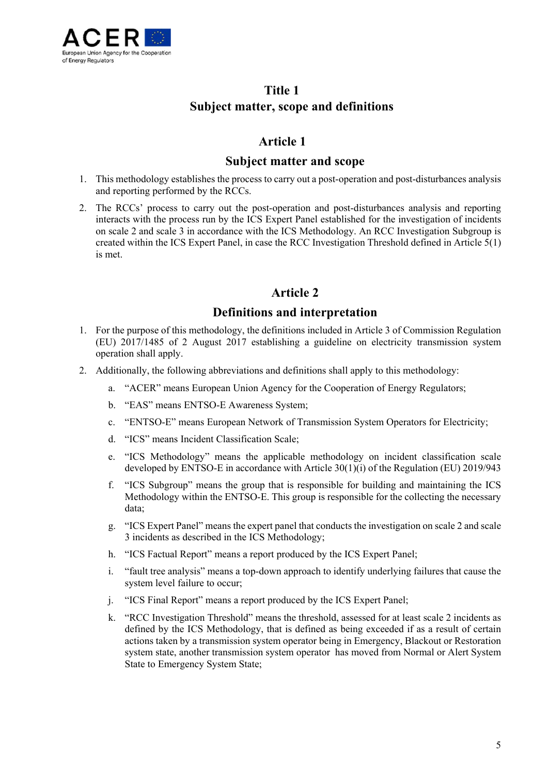

## **Title 1 Subject matter, scope and definitions**

## **Article 1**

#### **Subject matter and scope**

- 1. This methodology establishes the process to carry out a post-operation and post-disturbances analysis and reporting performed by the RCCs.
- 2. The RCCs' process to carry out the post-operation and post-disturbances analysis and reporting interacts with the process run by the ICS Expert Panel established for the investigation of incidents on scale 2 and scale 3 in accordance with the ICS Methodology. An RCC Investigation Subgroup is created within the ICS Expert Panel, in case the RCC Investigation Threshold defined in Article 5(1) is met.

## **Article 2**

## **Definitions and interpretation**

- 1. For the purpose of this methodology, the definitions included in Article 3 of Commission Regulation (EU) 2017/1485 of 2 August 2017 establishing a guideline on electricity transmission system operation shall apply.
- 2. Additionally, the following abbreviations and definitions shall apply to this methodology:
	- a. "ACER" means European Union Agency for the Cooperation of Energy Regulators;
	- b. "EAS" means ENTSO-E Awareness System;
	- c. "ENTSO-E" means European Network of Transmission System Operators for Electricity;
	- d. "ICS" means Incident Classification Scale;
	- e. "ICS Methodology" means the applicable methodology on incident classification scale developed by ENTSO-E in accordance with Article 30(1)(i) of the Regulation (EU) 2019/943
	- f. "ICS Subgroup" means the group that is responsible for building and maintaining the ICS Methodology within the ENTSO-E. This group is responsible for the collecting the necessary data;
	- g. "ICS Expert Panel" means the expert panel that conducts the investigation on scale 2 and scale 3 incidents as described in the ICS Methodology;
	- h. "ICS Factual Report" means a report produced by the ICS Expert Panel;
	- i. "fault tree analysis" means a top-down approach to identify underlying failures that cause the system level failure to occur;
	- j. "ICS Final Report" means a report produced by the ICS Expert Panel;
	- k. "RCC Investigation Threshold" means the threshold, assessed for at least scale 2 incidents as defined by the ICS Methodology, that is defined as being exceeded if as a result of certain actions taken by a transmission system operator being in Emergency, Blackout or Restoration system state, another transmission system operator has moved from Normal or Alert System State to Emergency System State;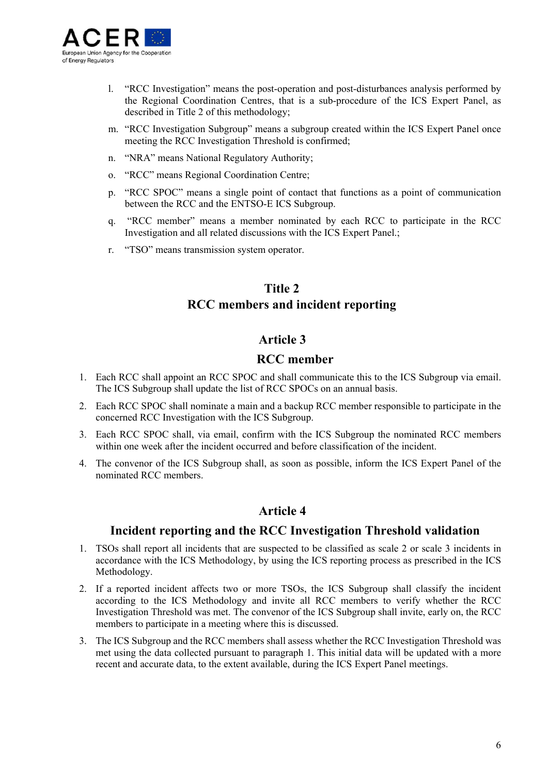

- l. "RCC Investigation" means the post-operation and post-disturbances analysis performed by the Regional Coordination Centres, that is a sub-procedure of the ICS Expert Panel, as described in Title 2 of this methodology;
- m. "RCC Investigation Subgroup" means a subgroup created within the ICS Expert Panel once meeting the RCC Investigation Threshold is confirmed;
- n. "NRA" means National Regulatory Authority;
- o. "RCC" means Regional Coordination Centre;
- p. "RCC SPOC" means a single point of contact that functions as a point of communication between the RCC and the ENTSO-E ICS Subgroup.
- q. "RCC member" means a member nominated by each RCC to participate in the RCC Investigation and all related discussions with the ICS Expert Panel.;
- r. "TSO" means transmission system operator.

## **Title 2 RCC members and incident reporting**

#### **Article 3**

#### **RCC member**

- 1. Each RCC shall appoint an RCC SPOC and shall communicate this to the ICS Subgroup via email. The ICS Subgroup shall update the list of RCC SPOCs on an annual basis.
- 2. Each RCC SPOC shall nominate a main and a backup RCC member responsible to participate in the concerned RCC Investigation with the ICS Subgroup.
- 3. Each RCC SPOC shall, via email, confirm with the ICS Subgroup the nominated RCC members within one week after the incident occurred and before classification of the incident.
- 4. The convenor of the ICS Subgroup shall, as soon as possible, inform the ICS Expert Panel of the nominated RCC members.

## **Article 4**

#### **Incident reporting and the RCC Investigation Threshold validation**

- 1. TSOs shall report all incidents that are suspected to be classified as scale 2 or scale 3 incidents in accordance with the ICS Methodology, by using the ICS reporting process as prescribed in the ICS Methodology.
- 2. If a reported incident affects two or more TSOs, the ICS Subgroup shall classify the incident according to the ICS Methodology and invite all RCC members to verify whether the RCC Investigation Threshold was met. The convenor of the ICS Subgroup shall invite, early on, the RCC members to participate in a meeting where this is discussed.
- 3. The ICS Subgroup and the RCC members shall assess whether the RCC Investigation Threshold was met using the data collected pursuant to paragraph 1. This initial data will be updated with a more recent and accurate data, to the extent available, during the ICS Expert Panel meetings.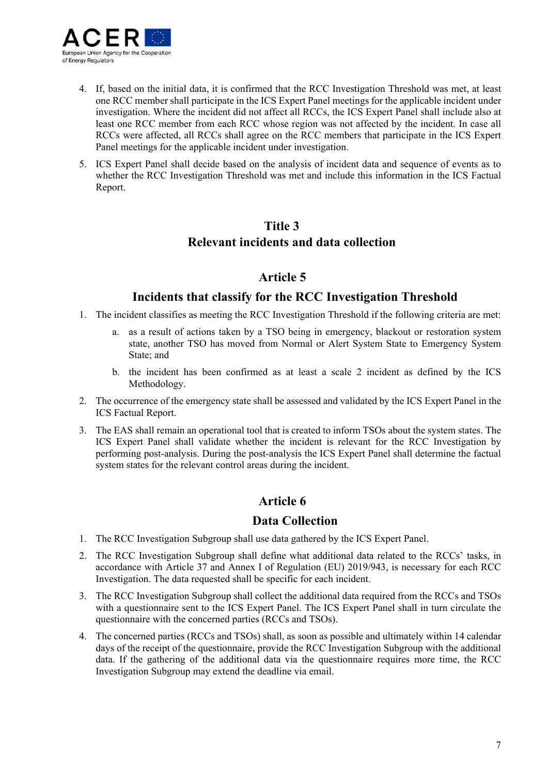

- 4. If, based on the initial data, it is confirmed that the RCC Investigation Threshold was met, at least one RCC member shall participate in the ICS Expert Panel meetings for the applicable incident under investigation. Where the incident did not affect all RCCs, the ICS Expert Panel shall include also at least one RCC member from each RCC whose region was not affected by the incident. In case all RCCs were affected, all RCCs shall agree on the RCC members that participate in the ICS Expert Panel meetings for the applicable incident under investigation.
- 5. ICS Expert Panel shall decide based on the analysis of incident data and sequence of events as to whether the RCC Investigation Threshold was met and include this information in the ICS Factual Report.

## **Title 3 Relevant incidents and data collection**

## **Article 5**

## **Incidents that classify for the RCC Investigation Threshold**

- 1. The incident classifies as meeting the RCC Investigation Threshold if the following criteria are met:
	- a. as a result of actions taken by a TSO being in emergency, blackout or restoration system state, another TSO has moved from Normal or Alert System State to Emergency System State; and
	- b. the incident has been confirmed as at least a scale 2 incident as defined by the ICS Methodology.
- 2. The occurrence of the emergency state shall be assessed and validated by the ICS Expert Panel in the ICS Factual Report.
- 3. The EAS shall remain an operational tool that is created to inform TSOs about the system states. The ICS Expert Panel shall validate whether the incident is relevant for the RCC Investigation by performing post-analysis. During the post-analysis the ICS Expert Panel shall determine the factual system states for the relevant control areas during the incident.

## **Article 6**

## **Data Collection**

- 1. The RCC Investigation Subgroup shall use data gathered by the ICS Expert Panel.
- 2. The RCC Investigation Subgroup shall define what additional data related to the RCCs' tasks, in accordance with Article 37 and Annex I of Regulation (EU) 2019/943, is necessary for each RCC Investigation. The data requested shall be specific for each incident.
- 3. The RCC Investigation Subgroup shall collect the additional data required from the RCCs and TSOs with a questionnaire sent to the ICS Expert Panel. The ICS Expert Panel shall in turn circulate the questionnaire with the concerned parties (RCCs and TSOs).
- 4. The concerned parties (RCCs and TSOs) shall, as soon as possible and ultimately within 14 calendar days of the receipt of the questionnaire, provide the RCC Investigation Subgroup with the additional data. If the gathering of the additional data via the questionnaire requires more time, the RCC Investigation Subgroup may extend the deadline via email.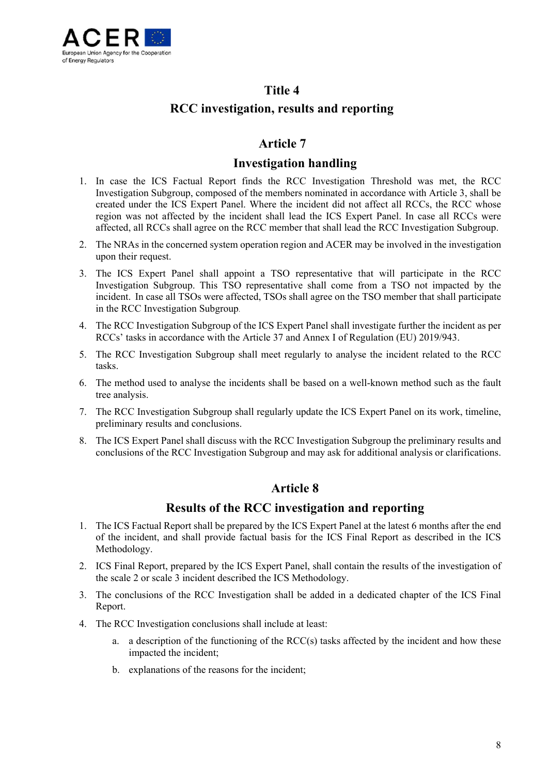

## **Title 4 RCC investigation, results and reporting**

## **Article 7**

## **Investigation handling**

- 1. In case the ICS Factual Report finds the RCC Investigation Threshold was met, the RCC Investigation Subgroup, composed of the members nominated in accordance with Article 3, shall be created under the ICS Expert Panel. Where the incident did not affect all RCCs, the RCC whose region was not affected by the incident shall lead the ICS Expert Panel. In case all RCCs were affected, all RCCs shall agree on the RCC member that shall lead the RCC Investigation Subgroup.
- 2. The NRAs in the concerned system operation region and ACER may be involved in the investigation upon their request.
- 3. The ICS Expert Panel shall appoint a TSO representative that will participate in the RCC Investigation Subgroup. This TSO representative shall come from a TSO not impacted by the incident. In case all TSOs were affected, TSOs shall agree on the TSO member that shall participate in the RCC Investigation Subgroup.
- 4. The RCC Investigation Subgroup of the ICS Expert Panel shall investigate further the incident as per RCCs' tasks in accordance with the Article 37 and Annex I of Regulation (EU) 2019/943.
- 5. The RCC Investigation Subgroup shall meet regularly to analyse the incident related to the RCC tasks.
- 6. The method used to analyse the incidents shall be based on a well-known method such as the fault tree analysis.
- 7. The RCC Investigation Subgroup shall regularly update the ICS Expert Panel on its work, timeline, preliminary results and conclusions.
- 8. The ICS Expert Panel shall discuss with the RCC Investigation Subgroup the preliminary results and conclusions of the RCC Investigation Subgroup and may ask for additional analysis or clarifications.

## **Article 8**

## **Results of the RCC investigation and reporting**

- 1. The ICS Factual Report shall be prepared by the ICS Expert Panel at the latest 6 months after the end of the incident, and shall provide factual basis for the ICS Final Report as described in the ICS Methodology.
- 2. ICS Final Report, prepared by the ICS Expert Panel, shall contain the results of the investigation of the scale 2 or scale 3 incident described the ICS Methodology.
- 3. The conclusions of the RCC Investigation shall be added in a dedicated chapter of the ICS Final Report.
- 4. The RCC Investigation conclusions shall include at least:
	- a. a description of the functioning of the RCC(s) tasks affected by the incident and how these impacted the incident;
	- b. explanations of the reasons for the incident;